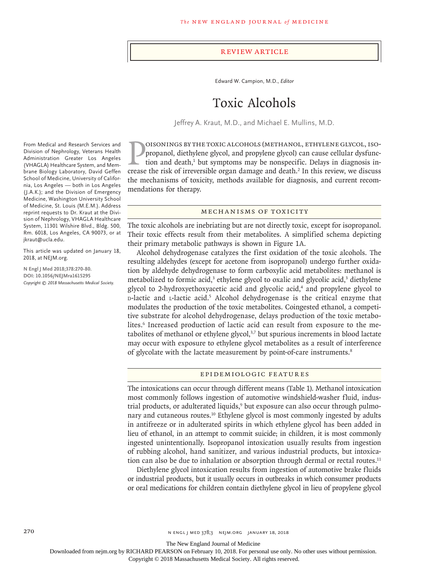#### Review Article

Edward W. Campion, M.D., *Editor*

# Toxic Alcohols

Jeffrey A. Kraut, M.D., and Michael E. Mullins, M.D.

**EXECUTE CONTANT CONS** (METHANOL, ETHYLENE GLYCOL, ISO-<br>propanol, diethylene glycol, and propylene glycol) can cause cellular dysfunc-<br>tion and death,<sup>1</sup> but symptoms may be nonspecific. Delays in diagnosis in-<br>crease the oisonings by the toxic alcohols (methanol, ethylene glycol, isopropanol, diethylene glycol, and propylene glycol) can cause cellular dysfunction and death,<sup>1</sup> but symptoms may be nonspecific. Delays in diagnosis inthe mechanisms of toxicity, methods available for diagnosis, and current recommendations for therapy.

#### Mechanisms of Toxicity

The toxic alcohols are inebriating but are not directly toxic, except for isopropanol. Their toxic effects result from their metabolites. A simplified schema depicting their primary metabolic pathways is shown in Figure 1A.

Alcohol dehydrogenase catalyzes the first oxidation of the toxic alcohols. The resulting aldehydes (except for acetone from isopropanol) undergo further oxidation by aldehyde dehydrogenase to form carboxylic acid metabolites: methanol is metabolized to formic acid,<sup>3</sup> ethylene glycol to oxalic and glycolic acid,<sup>3</sup> diethylene glycol to 2-hydroxyethoxyacetic acid and glycolic acid,<sup>4</sup> and propylene glycol to D-lactic and L-lactic acid.<sup>5</sup> Alcohol dehydrogenase is the critical enzyme that modulates the production of the toxic metabolites. Coingested ethanol, a competitive substrate for alcohol dehydrogenase, delays production of the toxic metabolites.<sup>6</sup> Increased production of lactic acid can result from exposure to the metabolites of methanol or ethylene glycol,<sup>3,7</sup> but spurious increments in blood lactate may occur with exposure to ethylene glycol metabolites as a result of interference of glycolate with the lactate measurement by point-of-care instruments.<sup>8</sup>

# Epidemiologic Features

The intoxications can occur through different means (Table 1). Methanol intoxication most commonly follows ingestion of automotive windshield-washer fluid, industrial products, or adulterated liquids,<sup>9</sup> but exposure can also occur through pulmonary and cutaneous routes.<sup>10</sup> Ethylene glycol is most commonly ingested by adults in antifreeze or in adulterated spirits in which ethylene glycol has been added in lieu of ethanol, in an attempt to commit suicide; in children, it is most commonly ingested unintentionally. Isopropanol intoxication usually results from ingestion of rubbing alcohol, hand sanitizer, and various industrial products, but intoxication can also be due to inhalation or absorption through dermal or rectal routes.<sup>11</sup>

Diethylene glycol intoxication results from ingestion of automotive brake fluids or industrial products, but it usually occurs in outbreaks in which consumer products or oral medications for children contain diethylene glycol in lieu of propylene glycol

From Medical and Research Services and Division of Nephrology, Veterans Health Administration Greater Los Angeles (VHAGLA) Healthcare System, and Membrane Biology Laboratory, David Geffen School of Medicine, University of California, Los Angeles — both in Los Angeles (J.A.K.); and the Division of Emergency Medicine, Washington University School of Medicine, St. Louis (M.E.M.). Address reprint requests to Dr. Kraut at the Division of Nephrology, VHAGLA Healthcare System, 11301 Wilshire Blvd., Bldg. 500, Rm. 6018, Los Angeles, CA 90073, or at jkraut@ucla.edu.

This article was updated on January 18, 2018, at NEJM.org.º

**N Engl J Med 2018;378:270-80. DOI: 10.1056/NEJMra1615295** *Copyright © 2018 Massachusetts Medical Society.*

The New England Journal of Medicine

Downloaded from nejm.org by RICHARD PEARSON on February 10, 2018. For personal use only. No other uses without permission.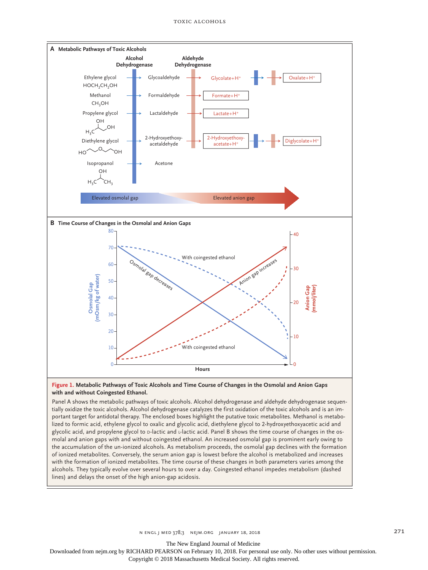

#### **Figure 1. Metabolic Pathways of Toxic Alcohols and Time Course of Changes in the Osmolal and Anion Gaps with and without Coingested Ethanol.**

Panel A shows the metabolic pathways of toxic alcohols. Alcohol dehydrogenase and aldehyde dehydrogenase sequentially oxidize the toxic alcohols. Alcohol dehydrogenase catalyzes the first oxidation of the toxic alcohols and is an important target for antidotal therapy. The enclosed boxes highlight the putative toxic metabolites. Methanol is metabolized to formic acid, ethylene glycol to oxalic and glycolic acid, diethylene glycol to 2-hydroxyethoxyacetic acid and glycolic acid, and propylene glycol to D-lactic and L-lactic acid. Panel B shows the time course of changes in the osmolal and anion gaps with and without coingested ethanol. An increased osmolal gap is prominent early owing to the accumulation of the un-ionized alcohols. As metabolism proceeds, the osmolal gap declines with the formation of ionized metabolites. Conversely, the serum anion gap is lowest before the alcohol is metabolized and increases with the formation of ionized metabolites. The time course of these changes in both parameters varies among the alcohols. They typically evolve over several hours to over a day. Coingested ethanol impedes metabolism (dashed lines) and delays the onset of the high anion-gap acidosis.

The New England Journal of Medicine

Downloaded from nejm.org by RICHARD PEARSON on February 10, 2018. For personal use only. No other uses without permission.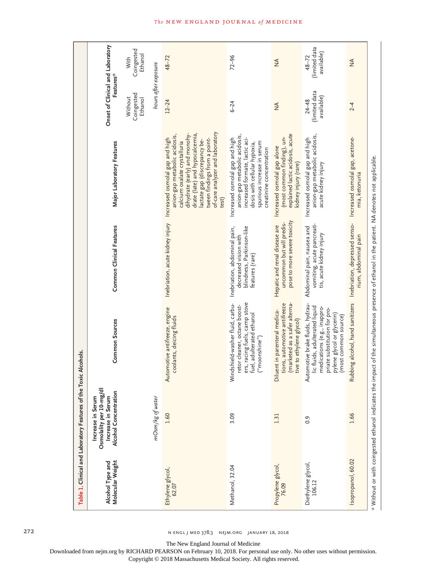|                                      | Table 1. Clinical and Laboratory Features of the Toxic Alcohols.                           |                                                                                                                                                                                             |                                                                                                       |                                                                                                                                                                                                                                                                                                                |                                               |                                          |
|--------------------------------------|--------------------------------------------------------------------------------------------|---------------------------------------------------------------------------------------------------------------------------------------------------------------------------------------------|-------------------------------------------------------------------------------------------------------|----------------------------------------------------------------------------------------------------------------------------------------------------------------------------------------------------------------------------------------------------------------------------------------------------------------|-----------------------------------------------|------------------------------------------|
| Molecular Weight<br>Alcohol Type and | Osmolality per 10-mg/dl<br>Alcohol Concentration<br>Increase in Serum<br>Increase in Serum | <b>Common Sources</b>                                                                                                                                                                       | <b>Common Clinical Features</b>                                                                       | Major Laboratory Features                                                                                                                                                                                                                                                                                      | Onset of Clinical and Laboratory<br>Features* |                                          |
|                                      |                                                                                            |                                                                                                                                                                                             |                                                                                                       |                                                                                                                                                                                                                                                                                                                | Coingested<br>Without<br>Ethanol              | Coingested<br>Ethanol<br>With            |
|                                      | mOsm/kg of water                                                                           |                                                                                                                                                                                             |                                                                                                       |                                                                                                                                                                                                                                                                                                                | hours after exposure                          |                                          |
| Ethylene glycol,<br>62.07            | 1.60                                                                                       | Automotive antifreeze, engine<br>coolants, deicing fluids                                                                                                                                   |                                                                                                       | of-care analyzer and laboratory<br>dihydrate (early) and monohy-<br>drate (late) and hypocalcemia,<br>anion-gap metabolic acidosis,<br>tween findings from a point-<br>Inebriation, acute kidney injury Increased osmolal gap and high<br>actate gap (discrepancy be-<br>calcium oxalate crystalluria<br>test) | $12 - 24$                                     | $48 - 72$                                |
| Methanol, 32.04                      | 3.09                                                                                       | ers, racing fuels, camp stove<br>Windshield-washer fluid, carbu-<br>retor cleaner, octane boost-<br>fuel, adulterated ethanol<br>("moonshine")                                              | Inebriation, abdominal pain,<br>blindness, Parkinson-like<br>decreased vision with<br>features (rare) | anion-gap metabolic acidosis,<br>Increased osmolal gap and high<br>increased formate, lactic aci-<br>spurious increase in serum<br>dosis with cellular hypoxia,<br>creatinine concentration                                                                                                                    | $6 - 24$                                      | $72 - 96$                                |
| Propylene glycol,<br>76.09           | 1.31                                                                                       | (marketed as a safer alterna-<br>tions, automotive antifreeze<br>Diluent in parenteral medica-<br>tive to ethylene glycol)                                                                  | pose to more severe toxicity<br>uncommon but will predis-<br>Hepatic and renal disease are            | explained lactic acidosis, acute<br>(most common finding), un-<br>Increased osmolal gap alone<br>kidney injury (rare)                                                                                                                                                                                          | $\frac{4}{2}$                                 | $\frac{4}{2}$                            |
| Diethylene glycol,<br>106.12         | 0.9                                                                                        | itomotive brake fluids, hydrau-<br>lic fluids, adulterated liquid<br>medications (e.g., inappro-<br>priate substitution for pro-<br>pylene glycol or glycerin)<br>(most common source)<br>₹ | vomiting, acute pancreati-<br>Abdominal pain, nausea and<br>tis, acute kidney injury                  | anion-gap metabolic acidosis,<br>Increased osmolal gap and high<br>acute kidney injury                                                                                                                                                                                                                         | (limited data<br>available)<br>$24 - 48$      | (limited data<br>available)<br>$48 - 72$ |
| Isopropanol, 60.02                   | 1.66                                                                                       | œ                                                                                                                                                                                           | bbing alcohol, hand sanitizers Inebriation, depressed senso-<br>rium, abdominal pain                  | Increased osmolal gap, acetone-<br>mia, ketonuria                                                                                                                                                                                                                                                              | $^{2-4}$                                      | $\frac{4}{2}$                            |
|                                      |                                                                                            | * Without or with coingested ethanol indicates the impact of the simultaneous presence of ethanol in the patient. NA denotes not applicable.                                                |                                                                                                       |                                                                                                                                                                                                                                                                                                                |                                               |                                          |

272 n engl j med 378;3 nejm.org January 18, 2018

The New England Journal of Medicine

Downloaded from nejm.org by RICHARD PEARSON on February 10, 2018. For personal use only. No other uses without permission.

Copyright © 2018 Massachusetts Medical Society. All rights reserved.

### **The NEW ENGLAND JOURNAL of MEDICINE**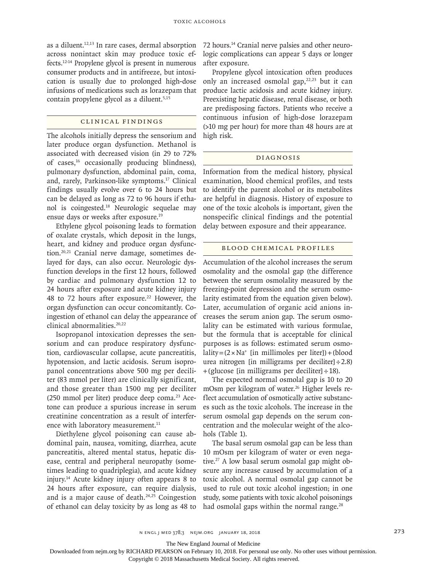as a diluent.12,13 In rare cases, dermal absorption across nonintact skin may produce toxic effects.12-14 Propylene glycol is present in numerous consumer products and in antifreeze, but intoxication is usually due to prolonged high-dose infusions of medications such as lorazepam that contain propylene glycol as a diluent.<sup>5,15</sup>

# Clinical Findings

The alcohols initially depress the sensorium and later produce organ dysfunction. Methanol is associated with decreased vision (in 29 to 72% of cases,16 occasionally producing blindness), pulmonary dysfunction, abdominal pain, coma, and, rarely, Parkinson-like symptoms.17 Clinical findings usually evolve over 6 to 24 hours but can be delayed as long as 72 to 96 hours if ethanol is coingested.18 Neurologic sequelae may ensue days or weeks after exposure.19

Ethylene glycol poisoning leads to formation of oxalate crystals, which deposit in the lungs, heart, and kidney and produce organ dysfunction.20,21 Cranial nerve damage, sometimes delayed for days, can also occur. Neurologic dysfunction develops in the first 12 hours, followed by cardiac and pulmonary dysfunction 12 to 24 hours after exposure and acute kidney injury 48 to 72 hours after exposure.<sup>22</sup> However, the organ dysfunction can occur concomitantly. Coingestion of ethanol can delay the appearance of clinical abnormalities.<sup>20,22</sup>

Isopropanol intoxication depresses the sensorium and can produce respiratory dysfunction, cardiovascular collapse, acute pancreatitis, hypotension, and lactic acidosis. Serum isopropanol concentrations above 500 mg per deciliter (83 mmol per liter) are clinically significant, and those greater than 1500 mg per deciliter  $(250 \text{ mmol per liter})$  produce deep coma.<sup>23</sup> Acetone can produce a spurious increase in serum creatinine concentration as a result of interference with laboratory measurement.<sup>11</sup>

Diethylene glycol poisoning can cause abdominal pain, nausea, vomiting, diarrhea, acute pancreatitis, altered mental status, hepatic disease, central and peripheral neuropathy (sometimes leading to quadriplegia), and acute kidney injury.14 Acute kidney injury often appears 8 to 24 hours after exposure, can require dialysis, and is a major cause of death.<sup>24,25</sup> Coingestion of ethanol can delay toxicity by as long as 48 to 72 hours.14 Cranial nerve palsies and other neurologic complications can appear 5 days or longer after exposure.

Propylene glycol intoxication often produces only an increased osmolal gap, $22,23$  but it can produce lactic acidosis and acute kidney injury. Preexisting hepatic disease, renal disease, or both are predisposing factors. Patients who receive a continuous infusion of high-dose lorazepam (>10 mg per hour) for more than 48 hours are at high risk.

#### Diagnosis

Information from the medical history, physical examination, blood chemical profiles, and tests to identify the parent alcohol or its metabolites are helpful in diagnosis. History of exposure to one of the toxic alcohols is important, given the nonspecific clinical findings and the potential delay between exposure and their appearance.

#### Blood Chemical Profiles

Accumulation of the alcohol increases the serum osmolality and the osmolal gap (the difference between the serum osmolality measured by the freezing-point depression and the serum osmolarity estimated from the equation given below). Later, accumulation of organic acid anions increases the serum anion gap. The serum osmolality can be estimated with various formulae, but the formula that is acceptable for clinical purposes is as follows: estimated serum osmo $lality = (2 \times Na<sup>+</sup>$  [in millimoles per liter]) + (blood urea nitrogen [in milligrams per deciliter] $\div$ 2.8)  $+($ glucose [in milligrams per deciliter]  $\div$  18).

The expected normal osmolal gap is 10 to 20 mOsm per kilogram of water.<sup>26</sup> Higher levels reflect accumulation of osmotically active substances such as the toxic alcohols. The increase in the serum osmolal gap depends on the serum concentration and the molecular weight of the alcohols (Table 1).

The basal serum osmolal gap can be less than 10 mOsm per kilogram of water or even negative.27 A low basal serum osmolal gap might obscure any increase caused by accumulation of a toxic alcohol. A normal osmolal gap cannot be used to rule out toxic alcohol ingestion; in one study, some patients with toxic alcohol poisonings had osmolal gaps within the normal range.<sup>28</sup>

The New England Journal of Medicine

Downloaded from nejm.org by RICHARD PEARSON on February 10, 2018. For personal use only. No other uses without permission.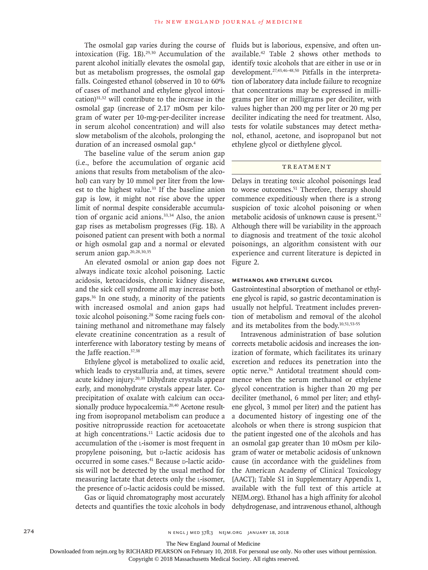The osmolal gap varies during the course of intoxication (Fig. 1B). $29,30$  Accumulation of the parent alcohol initially elevates the osmolal gap, but as metabolism progresses, the osmolal gap falls. Coingested ethanol (observed in 10 to 60% of cases of methanol and ethylene glycol intoxication)31,32 will contribute to the increase in the osmolal gap (increase of 2.17 mOsm per kilogram of water per 10-mg-per-deciliter increase in serum alcohol concentration) and will also slow metabolism of the alcohols, prolonging the duration of an increased osmolal gap.4

The baseline value of the serum anion gap (i.e., before the accumulation of organic acid anions that results from metabolism of the alcohol) can vary by 10 mmol per liter from the lowest to the highest value.<sup>33</sup> If the baseline anion gap is low, it might not rise above the upper limit of normal despite considerable accumulation of organic acid anions.33,34 Also, the anion gap rises as metabolism progresses (Fig. 1B). A poisoned patient can present with both a normal or high osmolal gap and a normal or elevated serum anion gap.<sup>20,28,30,35</sup>

An elevated osmolal or anion gap does not always indicate toxic alcohol poisoning. Lactic acidosis, ketoacidosis, chronic kidney disease, and the sick cell syndrome all may increase both gaps.36 In one study, a minority of the patients with increased osmolal and anion gaps had toxic alcohol poisoning.<sup>28</sup> Some racing fuels containing methanol and nitromethane may falsely elevate creatinine concentration as a result of interference with laboratory testing by means of the Jaffe reaction.<sup>37,38</sup>

Ethylene glycol is metabolized to oxalic acid, which leads to crystalluria and, at times, severe acute kidney injury.20,39 Dihydrate crystals appear early, and monohydrate crystals appear later. Coprecipitation of oxalate with calcium can occasionally produce hypocalcemia.<sup>20,40</sup> Acetone resulting from isopropanol metabolism can produce a positive nitroprusside reaction for acetoacetate at high concentrations.11 Lactic acidosis due to accumulation of the l-isomer is most frequent in propylene poisoning, but p-lactic acidosis has occurred in some cases.<sup>41</sup> Because D-lactic acidosis will not be detected by the usual method for measuring lactate that detects only the l-isomer, the presence of  $p$ -lactic acidosis could be missed.

Gas or liquid chromatography most accurately detects and quantifies the toxic alcohols in body fluids but is laborious, expensive, and often unavailable.42 Table 2 shows other methods to identify toxic alcohols that are either in use or in development.27,43,46-48,50 Pitfalls in the interpretation of laboratory data include failure to recognize that concentrations may be expressed in milligrams per liter or milligrams per deciliter, with values higher than 200 mg per liter or 20 mg per deciliter indicating the need for treatment. Also, tests for volatile substances may detect methanol, ethanol, acetone, and isopropanol but not ethylene glycol or diethylene glycol.

# TREATMENT

Delays in treating toxic alcohol poisonings lead to worse outcomes.<sup>51</sup> Therefore, therapy should commence expeditiously when there is a strong suspicion of toxic alcohol poisoning or when metabolic acidosis of unknown cause is present.<sup>52</sup> Although there will be variability in the approach to diagnosis and treatment of the toxic alcohol poisonings, an algorithm consistent with our experience and current literature is depicted in Figure 2.

### **Methanol and Ethylene Glycol**

Gastrointestinal absorption of methanol or ethylene glycol is rapid, so gastric decontamination is usually not helpful. Treatment includes prevention of metabolism and removal of the alcohol and its metabolites from the body.10,51,53-55

Intravenous administration of base solution corrects metabolic acidosis and increases the ionization of formate, which facilitates its urinary excretion and reduces its penetration into the optic nerve.56 Antidotal treatment should commence when the serum methanol or ethylene glycol concentration is higher than 20 mg per deciliter (methanol, 6 mmol per liter; and ethylene glycol, 3 mmol per liter) and the patient has a documented history of ingesting one of the alcohols or when there is strong suspicion that the patient ingested one of the alcohols and has an osmolal gap greater than 10 mOsm per kilogram of water or metabolic acidosis of unknown cause (in accordance with the guidelines from the American Academy of Clinical Toxicology [AACT]; Table S1 in Supplementary Appendix 1, available with the full text of this article at NEJM.org). Ethanol has a high affinity for alcohol dehydrogenase, and intravenous ethanol, although

The New England Journal of Medicine

Downloaded from nejm.org by RICHARD PEARSON on February 10, 2018. For personal use only. No other uses without permission.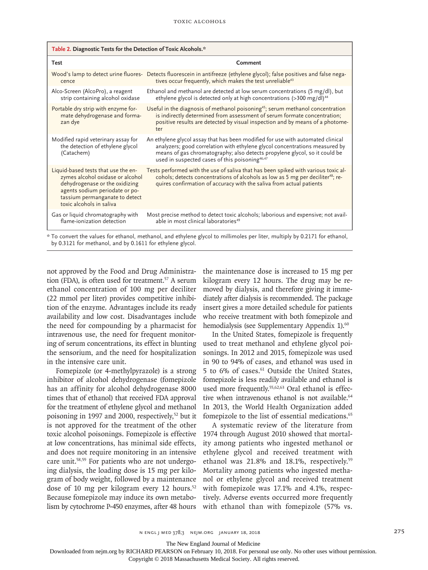| Table 2. Diagnostic Tests for the Detection of Toxic Alcohols.*                                                                                                                                           |                                                                                                                                                                                                                                                                                                            |  |
|-----------------------------------------------------------------------------------------------------------------------------------------------------------------------------------------------------------|------------------------------------------------------------------------------------------------------------------------------------------------------------------------------------------------------------------------------------------------------------------------------------------------------------|--|
| <b>Test</b>                                                                                                                                                                                               | Comment                                                                                                                                                                                                                                                                                                    |  |
| cence                                                                                                                                                                                                     | Wood's lamp to detect urine fluores- Detects fluorescein in antifreeze (ethylene glycol); false positives and false nega-<br>tives occur frequently, which makes the test unreliable <sup>43</sup>                                                                                                         |  |
| Alco-Screen (AlcoPro), a reagent<br>strip containing alcohol oxidase                                                                                                                                      | Ethanol and methanol are detected at low serum concentrations (5 mg/dl), but<br>ethylene glycol is detected only at high concentrations (>300 mg/dl) <sup>44</sup>                                                                                                                                         |  |
| Portable dry strip with enzyme for-<br>mate dehydrogenase and forma-<br>zan dye                                                                                                                           | Useful in the diagnosis of methanol poisoning <sup>45</sup> ; serum methanol concentration<br>is indirectly determined from assessment of serum formate concentration;<br>positive results are detected by visual inspection and by means of a photome-<br>ter                                             |  |
| Modified rapid veterinary assay for<br>the detection of ethylene glycol<br>(Catachem)                                                                                                                     | An ethylene glycol assay that has been modified for use with automated clinical<br>analyzers; good correlation with ethylene glycol concentrations measured by<br>means of gas chromatography; also detects propylene glycol, so it could be<br>used in suspected cases of this poisoning <sup>46,47</sup> |  |
| Liquid-based tests that use the en-<br>zymes alcohol oxidase or alcohol<br>dehydrogenase or the oxidizing<br>agents sodium periodate or po-<br>tassium permanganate to detect<br>toxic alcohols in saliva | Tests performed with the use of saliva that has been spiked with various toxic al-<br>cohols; detects concentrations of alcohols as low as 5 mg per deciliter <sup>48</sup> ; re-<br>quires confirmation of accuracy with the saliva from actual patients                                                  |  |
| Gas or liquid chromatography with<br>flame-ionization detection                                                                                                                                           | Most precise method to detect toxic alcohols; laborious and expensive; not avail-<br>able in most clinical laboratories <sup>49</sup>                                                                                                                                                                      |  |
| * To convert the values for ethanol, methanol, and ethylene glycol to millimoles per liter, multiply by 0.2171 for ethanol,                                                                               |                                                                                                                                                                                                                                                                                                            |  |

by 0.3121 for methanol, and by 0.1611 for ethylene glycol.

not approved by the Food and Drug Administration (FDA), is often used for treatment.<sup>57</sup> A serum ethanol concentration of 100 mg per deciliter (22 mmol per liter) provides competitive inhibition of the enzyme. Advantages include its ready availability and low cost. Disadvantages include the need for compounding by a pharmacist for intravenous use, the need for frequent monitoring of serum concentrations, its effect in blunting the sensorium, and the need for hospitalization in the intensive care unit.

Fomepizole (or 4-methylpyrazole) is a strong inhibitor of alcohol dehydrogenase (fomepizole has an affinity for alcohol dehydrogenase 8000 times that of ethanol) that received FDA approval for the treatment of ethylene glycol and methanol poisoning in 1997 and 2000, respectively,<sup>52</sup> but it is not approved for the treatment of the other toxic alcohol poisonings. Fomepizole is effective at low concentrations, has minimal side effects, and does not require monitoring in an intensive care unit.58,59 For patients who are not undergoing dialysis, the loading dose is 15 mg per kilogram of body weight, followed by a maintenance dose of 10 mg per kilogram every 12 hours. $52$ Because fomepizole may induce its own metabolism by cytochrome P-450 enzymes, after 48 hours the maintenance dose is increased to 15 mg per kilogram every 12 hours. The drug may be removed by dialysis, and therefore giving it immediately after dialysis is recommended. The package insert gives a more detailed schedule for patients who receive treatment with both fomepizole and hemodialysis (see Supplementary Appendix 1).<sup>60</sup>

In the United States, fomepizole is frequently used to treat methanol and ethylene glycol poisonings. In 2012 and 2015, fomepizole was used in 90 to 94% of cases, and ethanol was used in 5 to 6% of cases.<sup>61</sup> Outside the United States, fomepizole is less readily available and ethanol is used more frequently.<sup>55,62,63</sup> Oral ethanol is effective when intravenous ethanol is not available.<sup>64</sup> In 2013, the World Health Organization added fomepizole to the list of essential medications.<sup>65</sup>

A systematic review of the literature from 1974 through August 2010 showed that mortality among patients who ingested methanol or ethylene glycol and received treatment with ethanol was 21.8% and 18.1%, respectively.<sup>59</sup> Mortality among patients who ingested methanol or ethylene glycol and received treatment with fomepizole was 17.1% and 4.1%, respectively. Adverse events occurred more frequently with ethanol than with fomepizole (57% vs.

The New England Journal of Medicine

Downloaded from nejm.org by RICHARD PEARSON on February 10, 2018. For personal use only. No other uses without permission.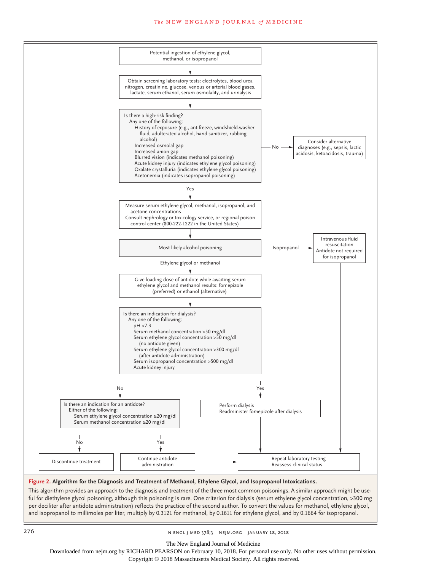#### The NEW ENGLAND JOURNAL of MEDICINE



#### **Figure 2. Algorithm for the Diagnosis and Treatment of Methanol, Ethylene Glycol, and Isopropanol Intoxications.**

This algorithm provides an approach to the diagnosis and treatment of the three most common poisonings. A similar approach might be useful for diethylene glycol poisoning, although this poisoning is rare. One criterion for dialysis (serum ethylene glycol concentration, >300 mg per deciliter after antidote administration) reflects the practice of the second author. To convert the values for methanol, ethylene glycol, and isopropanol to millimoles per liter, multiply by 0.3121 for methanol, by 0.1611 for ethylene glycol, and by 0.1664 for isopropanol.

276 n engl j med 378;3 nejm.org January 18, 2018

The New England Journal of Medicine

Downloaded from nejm.org by RICHARD PEARSON on February 10, 2018. For personal use only. No other uses without permission.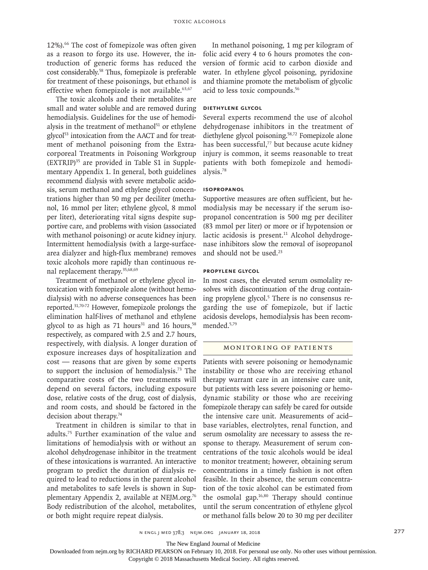12%).66 The cost of fomepizole was often given as a reason to forgo its use. However, the introduction of generic forms has reduced the cost considerably.58 Thus, fomepizole is preferable for treatment of these poisonings, but ethanol is effective when fomepizole is not available.<sup>63,67</sup>

The toxic alcohols and their metabolites are small and water soluble and are removed during hemodialysis. Guidelines for the use of hemodialysis in the treatment of methanol $51$  or ethylene glycol<sup>53</sup> intoxication from the AACT and for treatment of methanol poisoning from the Extracorporeal Treatments in Poisoning Workgroup (EXTRIP)35 are provided in Table S1 in Supplementary Appendix 1. In general, both guidelines recommend dialysis with severe metabolic acidosis, serum methanol and ethylene glycol concentrations higher than 50 mg per deciliter (methanol, 16 mmol per liter; ethylene glycol, 8 mmol per liter), deteriorating vital signs despite supportive care, and problems with vision (associated with methanol poisoning) or acute kidney injury. Intermittent hemodialysis (with a large-surfacearea dialyzer and high-flux membrane) removes toxic alcohols more rapidly than continuous renal replacement therapy.35,68,69

Treatment of methanol or ethylene glycol intoxication with fomepizole alone (without hemodialysis) with no adverse consequences has been reported.31,70-72 However, fomepizole prolongs the elimination half-lives of methanol and ethylene glycol to as high as 71 hours<sup>31</sup> and 16 hours,<sup>58</sup> respectively, as compared with 2.5 and 2.7 hours, respectively, with dialysis. A longer duration of exposure increases days of hospitalization and cost — reasons that are given by some experts to support the inclusion of hemodialysis.73 The comparative costs of the two treatments will depend on several factors, including exposure dose, relative costs of the drug, cost of dialysis, and room costs, and should be factored in the decision about therapy.74

Treatment in children is similar to that in adults.75 Further examination of the value and limitations of hemodialysis with or without an alcohol dehydrogenase inhibitor in the treatment of these intoxications is warranted. An interactive program to predict the duration of dialysis required to lead to reductions in the parent alcohol and metabolites to safe levels is shown in Supplementary Appendix 2, available at NEJM.org.<sup>76</sup> Body redistribution of the alcohol, metabolites, or both might require repeat dialysis.

In methanol poisoning, 1 mg per kilogram of folic acid every 4 to 6 hours promotes the conversion of formic acid to carbon dioxide and water. In ethylene glycol poisoning, pyridoxine and thiamine promote the metabolism of glycolic acid to less toxic compounds.56

#### **Diethylene Glycol**

Several experts recommend the use of alcohol dehydrogenase inhibitors in the treatment of diethylene glycol poisoning.<sup>58,72</sup> Fomepizole alone has been successful,<sup>77</sup> but because acute kidney injury is common, it seems reasonable to treat patients with both fomepizole and hemodialysis.78

# **Isopropanol**

Supportive measures are often sufficient, but hemodialysis may be necessary if the serum isopropanol concentration is 500 mg per deciliter (83 mmol per liter) or more or if hypotension or lactic acidosis is present. $11$  Alcohol dehydrogenase inhibitors slow the removal of isopropanol and should not be used.23

# **Propylene Glycol**

In most cases, the elevated serum osmolality resolves with discontinuation of the drug containing propylene glycol.<sup>5</sup> There is no consensus regarding the use of fomepizole, but if lactic acidosis develops, hemodialysis has been recommended.5,79

## Monitoring of Patients

Patients with severe poisoning or hemodynamic instability or those who are receiving ethanol therapy warrant care in an intensive care unit, but patients with less severe poisoning or hemodynamic stability or those who are receiving fomepizole therapy can safely be cared for outside the intensive care unit. Measurements of acid– base variables, electrolytes, renal function, and serum osmolality are necessary to assess the response to therapy. Measurement of serum concentrations of the toxic alcohols would be ideal to monitor treatment; however, obtaining serum concentrations in a timely fashion is not often feasible. In their absence, the serum concentration of the toxic alcohol can be estimated from the osmolal gap.16,80 Therapy should continue until the serum concentration of ethylene glycol or methanol falls below 20 to 30 mg per deciliter

n engl j med 378;3 nejm.org January 18, 2018 277

The New England Journal of Medicine

Downloaded from nejm.org by RICHARD PEARSON on February 10, 2018. For personal use only. No other uses without permission.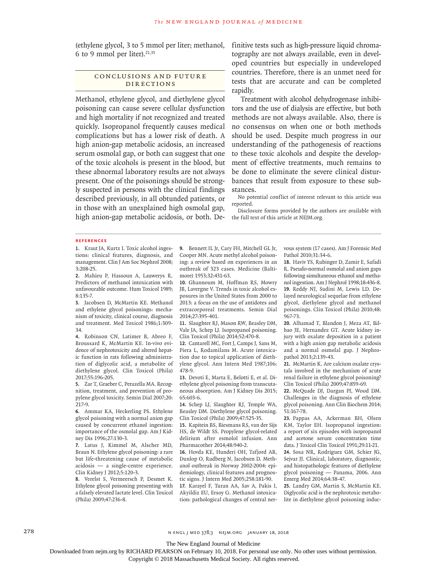(ethylene glycol, 3 to 5 mmol per liter; methanol, 6 to 9 mmol per liter). $21,35$ 

#### CONCLUSIONS AND FUTURE Directions

Methanol, ethylene glycol, and diethylene glycol poisoning can cause severe cellular dysfunction and high mortality if not recognized and treated quickly. Isopropanol frequently causes medical complications but has a lower risk of death. A high anion-gap metabolic acidosis, an increased serum osmolal gap, or both can suggest that one of the toxic alcohols is present in the blood, but these abnormal laboratory results are not always present. One of the poisonings should be strongly suspected in persons with the clinical findings described previously, in all obtunded patients, or in those with an unexplained high osmolal gap, high anion-gap metabolic acidosis, or both. Definitive tests such as high-pressure liquid chromatography are not always available, even in developed countries but especially in undeveloped countries. Therefore, there is an unmet need for tests that are accurate and can be completed rapidly.

Treatment with alcohol dehydrogenase inhibitors and the use of dialysis are effective, but both methods are not always available. Also, there is no consensus on when one or both methods should be used. Despite much progress in our understanding of the pathogenesis of reactions to these toxic alcohols and despite the development of effective treatments, much remains to be done to eliminate the severe clinical disturbances that result from exposure to these substances.

No potential conflict of interest relevant to this article was reported.

Disclosure forms provided by the authors are available with the full text of this article at NEJM.org.

#### **References**

**1.** Kraut JA, Kurtz I. Toxic alcohol ingestions: clinical features, diagnosis, and management. Clin J Am Soc Nephrol 2008; 3:208-25.

**2.** Mahieu P, Hassoun A, Lauwerys R. Predictors of methanol intoxication with unfavourable outcome. Hum Toxicol 1989; 8:135-7.

**3.** Jacobsen D, McMartin KE. Methanol and ethylene glycol poisonings: mechanism of toxicity, clinical course, diagnosis and treatment. Med Toxicol 1986;1:309- 34.

**4.** Robinson CN, Latimer B, Abreo F, Broussard K, McMartin KE. In-vivo evidence of nephrotoxicity and altered hepatic function in rats following administration of diglycolic acid, a metabolite of diethylene glycol. Clin Toxicol (Phila) 2017;55:196-205.

**5.** Zar T, Graeber C, Perazella MA. Recognition, treatment, and prevention of propylene glycol toxicity. Semin Dial 2007;20: 217-9.

**6.** Ammar KA, Heckerling PS. Ethylene glycol poisoning with a normal anion gap caused by concurrent ethanol ingestion: importance of the osmolal gap. Am J Kidney Dis 1996;27:130-3.

**7.** Latus J, Kimmel M, Alscher MD, Braun N. Ethylene glycol poisoning: a rare but life-threatening cause of metabolic acidosis — a single-centre experience. Clin Kidney J 2012;5:120-3.

**8.** Verelst S, Vermeersch P, Desmet K. Ethylene glycol poisoning presenting with a falsely elevated lactate level. Clin Toxicol (Phila) 2009;47:236-8.

**9.** Bennett IL Jr, Cary FH, Mitchell GL Jr, Cooper MN. Acute methyl alcohol poisoning: a review based on experiences in an outbreak of 323 cases. Medicine (Baltimore) 1953;32:431-63.

**10.** Ghannoum M, Hoffman RS, Mowry JB, Lavergne V. Trends in toxic alcohol exposures in the United States from 2000 to 2013: a focus on the use of antidotes and extracorporeal treatments. Semin Dial 2014;27:395-401.

**11.** Slaughter RJ, Mason RW, Beasley DM, Vale JA, Schep LJ. Isopropanol poisoning. Clin Toxicol (Phila) 2014;52:470-8.

**12.** Cantarell MC, Fort J, Camps J, Sans M, Piera L, Rodamilans M. Acute intoxication due to topical application of diethylene glycol. Ann Intern Med 1987;106: 478-9.

**13.** Devoti E, Marta E, Belotti E, et al. Diethylene glycol poisoning from transcutaneous absorption. Am J Kidney Dis 2015; 65:603-6.

**14.** Schep LJ, Slaughter RJ, Temple WA, Beasley DM. Diethylene glycol poisoning. Clin Toxicol (Phila) 2009;47:525-35.

**15.** Kapitein BS, Biesmans RS, van der Sijs HS, de Wildt SS. Propylene glycol-related delirium after esmolol infusion. Ann Pharmacother 2014;48:940-2.

**16.** Hovda KE, Hunderi OH, Tafjord AB, Dunlop O, Rudberg N, Jacobsen D. Methanol outbreak in Norway 2002-2004: epidemiology, clinical features and prognostic signs. J Intern Med 2005;258:181-90.

**17.** Karayel F, Turan AA, Sav A, Pakis I, Akyildiz EU, Ersoy G. Methanol intoxication: pathological changes of central nervous system (17 cases). Am J Forensic Med Pathol 2010;31:34-6.

**18.** Haviv YS, Rubinger D, Zamir E, Safadi R. Pseudo-normal osmolal and anion gaps following simultaneous ethanol and methanol ingestion. Am J Nephrol 1998;18:436-8. **19.** Reddy NJ, Sudini M, Lewis LD. Delayed neurological sequelae from ethylene glycol, diethylene glycol and methanol poisonings. Clin Toxicol (Phila) 2010;48: 967-73.

**20.** Alhamad T, Blandon J, Meza AT, Bilbao JE, Hernandez GT. Acute kidney injury with oxalate deposition in a patient with a high anion gap metabolic acidosis and a normal osmolal gap. J Nephropathol 2013;2:139-43.

**21.** McMartin K. Are calcium oxalate crystals involved in the mechanism of acute renal failure in ethylene glycol poisoning? Clin Toxicol (Phila) 2009;47:859-69.

**22.** McQuade DJ, Dargan PI, Wood DM. Challenges in the diagnosis of ethylene glycol poisoning. Ann Clin Biochem 2014; 51:167-78.

**23.** Pappas AA, Ackerman BH, Olsen KM, Taylor EH. Isopropanol ingestion: a report of six episodes with isopropanol and acetone serum concentration time data. J Toxicol Clin Toxicol 1991;29:11-21. **24.** Sosa NR, Rodriguez GM, Schier JG,

Sejvar JJ. Clinical, laboratory, diagnostic, and histopathologic features of diethylene glycol poisoning — Panama, 2006. Ann Emerg Med 2014;64:38-47.

**25.** Landry GM, Martin S, McMartin KE. Diglycolic acid is the nephrotoxic metabolite in diethylene glycol poisoning induc-

278 n engl j med 378;3 nejm.org January 18, 2018

The New England Journal of Medicine

Downloaded from nejm.org by RICHARD PEARSON on February 10, 2018. For personal use only. No other uses without permission.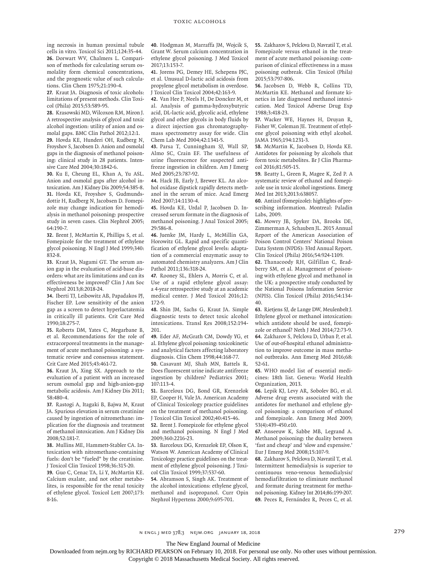ing necrosis in human proximal tubule cells in vitro. Toxicol Sci 2011;124:35-44. **26.** Dorwart WV, Chalmers L. Comparison of methods for calculating serum osmolality form chemical concentrations, and the prognostic value of such calculations. Clin Chem 1975;21:190-4.

**27.** Kraut JA. Diagnosis of toxic alcohols: limitations of present methods. Clin Toxicol (Phila) 2015;53:589-95.

**28.** Krasowski MD, Wilcoxon RM, Miron J. A retrospective analysis of glycol and toxic alcohol ingestion: utility of anion and osmolal gaps. BMC Clin Pathol 2012;12:1.

**29.** Hovda KE, Hunderi OH, Rudberg N, Froyshov S, Jacobsen D. Anion and osmolal gaps in the diagnosis of methanol poisoning: clinical study in 28 patients. Intensive Care Med 2004;30:1842-6.

**30.** Ku E, Cheung EL, Khan A, Yu ASL. Anion and osmolal gaps after alcohol intoxication. Am J Kidney Dis 2009;54:385-8. **31.** Hovda KE, Froyshov S, Gudmundsdottir H, Rudberg N, Jacobsen D. Fomepizole may change indication for hemodialysis in methanol poisoning: prospective study in seven cases. Clin Nephrol 2005; 64:190-7.

**32.** Brent J, McMartin K, Phillips S, et al. Fomepizole for the treatment of ethylene glycol poisoning. N Engl J Med 1999;340: 832-8.

**33.** Kraut JA, Nagami GT. The serum anion gap in the evaluation of acid-base disorders: what are its limitations and can its effectiveness be improved? Clin J Am Soc Nephrol 2013;8:2018-24.

**34.** Iberti TJ, Leibowitz AB, Papadakos PJ, Fischer EP. Low sensitivity of the anion gap as a screen to detect hyperlactatemia in critically ill patients. Crit Care Med 1990;18:275-7.

**35.** Roberts DM, Yates C, Megarbane B, et al. Recommendations for the role of extracorporeal treatments in the management of acute methanol poisoning: a systematic review and consensus statement. Crit Care Med 2015;43:461-72.

**36.** Kraut JA, Xing SX. Approach to the evaluation of a patient with an increased serum osmolal gap and high-anion-gap metabolic acidosis. Am J Kidney Dis 2011; 58:480-4.

**37.** Rastogi A, Itagaki B, Bajwa M, Kraut JA. Spurious elevation in serum creatinine caused by ingestion of nitromethane: implication for the diagnosis and treatment of methanol intoxication. Am J Kidney Dis 2008;52:181-7.

**38.** Mullins ME, Hammett-Stabler CA. Intoxication with nitromethane-containing fuels: don't be "fueled" by the creatinine. J Toxicol Clin Toxicol 1998;36:315-20.

**39.** Guo C, Cenac TA, Li Y, McMartin KE. Calcium oxalate, and not other metabolites, is responsible for the renal toxicity of ethylene glycol. Toxicol Lett 2007;173: 8-16.

**40.** Hodgman M, Marraffa JM, Wojcik S, Grant W. Serum calcium concentration in ethylene glycol poisoning. J Med Toxicol 2017;13:153-7.

**41.** Jorens PG, Demey HE, Schepens PJC, et al. Unusual D-lactic acid acidosis from propylene glycol metabolism in overdose. J Toxicol Clin Toxicol 2004;42:163-9.

**42.** Van Hee P, Neels H, De Doncker M, et al. Analysis of gamma-hydroxybutyric acid, DL-lactic acid, glycolic acid, ethylene glycol and other glycols in body fluids by a direct injection gas chromatographymass spectrometry assay for wide. Clin Chem Lab Med 2004;42:1341-5.

**43.** Parsa T, Cunningham SJ, Wall SP, Almo SC, Crain EF. The usefulness of urine fluorescence for suspected antifreeze ingestion in children. Am J Emerg Med 2005;23:787-92.

**44.** Hack JB, Early J, Brewer KL. An alcohol oxidase dipstick rapidly detects methanol in the serum of mice. Acad Emerg Med 2007;14:1130-4.

**45.** Hovda KE, Urdal P, Jacobsen D. Increased serum formate in the diagnosis of methanol poisoning. J Anal Toxicol 2005; 29:586-8.

**46.** Juenke JM, Hardy L, McMillin GA, Horowitz GL. Rapid and specific quantification of ethylene glycol levels: adaptation of a commercial enzymatic assay to automated chemistry analyzers. Am J Clin Pathol 2011;136:318-24.

**47.** Rooney SL, Ehlers A, Morris C, et al. Use of a rapid ethylene glycol assay: a 4-year retrospective study at an academic medical center. J Med Toxicol 2016;12: 172-9.

**48.** Shin JM, Sachs G, Kraut JA. Simple diagnostic tests to detect toxic alcohol intoxications. Transl Res 2008;152:194- 201.

**49.** Eder AF, McGrath CM, Dowdy YG, et al. Ethylene glycol poisoning: toxicokinetic and analytical factors affecting laboratory diagnosis. Clin Chem 1998;44:168-77.

**50.** Casavant MJ, Shah MN, Battels R. Does fluorescent urine indicate antifreeze ingestion by children? Pediatrics 2001; 107:113-4.

**51.** Barceloux DG, Bond GR, Krenzelok EP, Cooper H, Vale JA. American Academy of Clinical Toxicology practice guidelines on the treatment of methanol poisoning. J Toxicol Clin Toxicol 2002;40:415-46.

**52.** Brent J. Fomepizole for ethylene glycol and methanol poisoning. N Engl J Med 2009;360:2216-23.

**53.** Barceloux DG, Krenzelok EP, Olson K, Watson W. American Academy of Clinical Toxicology practice guidelines on the treatment of ethylene glycol poisoning. J Toxicol Clin Toxicol 1999;37:537-60.

**54.** Abramson S, Singh AK. Treatment of the alcohol intoxications: ethylene glycol, methanol and isopropanol. Curr Opin Nephrol Hypertens 2000;9:695-701.

**55.** Zakharov S, Pelclova D, Navratil T, et al. Fomepizole versus ethanol in the treatment of acute methanol poisoning: comparison of clinical effectiveness in a mass poisoning outbreak. Clin Toxicol (Phila) 2015;53:797-806.

**56.** Jacobsen D, Webb R, Collins TD, McMartin KE. Methanol and formate kinetics in late diagnosed methanol intoxication. Med Toxicol Adverse Drug Exp 1988;3:418-23.

**57.** Wacker WE, Haynes H, Druyan R, Fisher W, Coleman JE. Treatment of ethylene glycol poisoning with ethyl alcohol. JAMA 1965;194:1231-3.

**58.** McMartin K, Jacobsen D, Hovda KE. Antidotes for poisoning by alcohols that form toxic metabolites. Br J Clin Pharmacol 2016;81:505-15.

**59.** Beatty L, Green R, Magee K, Zed P. A systematic review of ethanol and fomepizole use in toxic alcohol ingestions. Emerg Med Int 2013;2013:638057.

**60.** Antizol (fomepizole): highlights of prescribing information. Montreal: Paladin Labs, 2009.

**61.** Mowry JB, Spyker DA, Brooks DE, Zimmerman A, Schauben JL. 2015 Annual Report of the American Association of Poison Control Centers' National Poison Data System (NPDS): 33rd Annual Report. Clin Toxicol (Phila) 2016;54:924-1109.

**62.** Thanacoody RH, Gilfillan C, Bradberry SM, et al. Management of poisoning with ethylene glycol and methanol in the UK: a prospective study conducted by the National Poisons Information Service (NPIS). Clin Toxicol (Phila) 2016;54:134- 40.

**63.** Rietjens SJ, de Lange DW, Meulenbelt J. Ethylene glycol or methanol intoxication: which antidote should be used, fomepizole or ethanol? Neth J Med 2014;72:73-9. **64.** Zakharov S, Pelclova D, Urban P, et al. Use of out-of-hospital ethanol administration to improve outcome in mass methanol outbreaks. Ann Emerg Med 2016;68: 52-61.

**65.** WHO model list of essential medicines: 18th list. Geneva: World Health Organization, 2013.

**66.** Lepik KJ, Levy AR, Sobolev BG, et al. Adverse drug events associated with the antidotes for methanol and ethylene glycol poisoning: a comparison of ethanol and fomepizole. Ann Emerg Med 2009; 53(4):439-450.e10.

**67.** Anseeuw K, Sabbe MB, Legrand A. Methanol poisoning: the duality between 'fast and cheap' and 'slow and expensive.' Eur J Emerg Med 2008;15:107-9.

**68.** Zakharov S, Pelclova D, Navratil T, et al. Intermittent hemodialysis is superior to continuous veno-venous hemodialysis/ hemodiafiltration to eliminate methanol and formate during treatment for methanol poisoning. Kidney Int 2014;86:199-207. **69.** Peces R, Fernández R, Peces C, et al.

n engl j med 378;3 nejm.org January 18, 2018 279

The New England Journal of Medicine

Downloaded from nejm.org by RICHARD PEARSON on February 10, 2018. For personal use only. No other uses without permission.